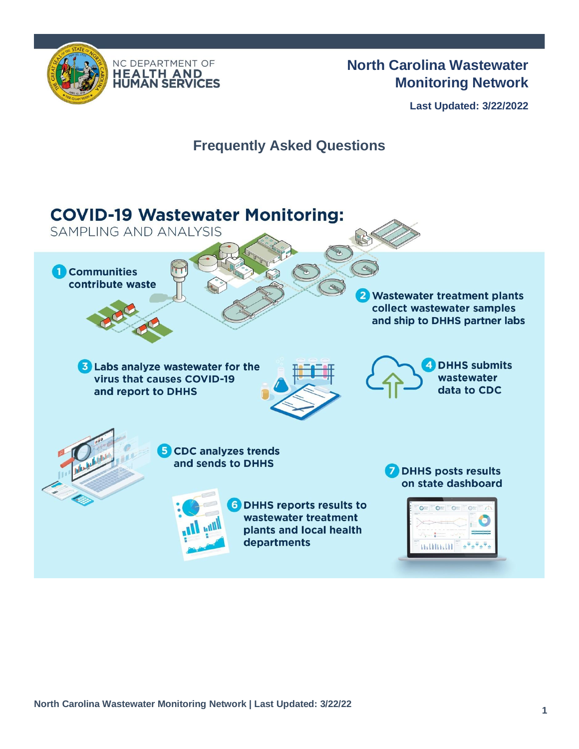



# **North Carolina Wastewater Monitoring Network**

**Last Updated: 3/22/2022**

# **Frequently Asked Questions**

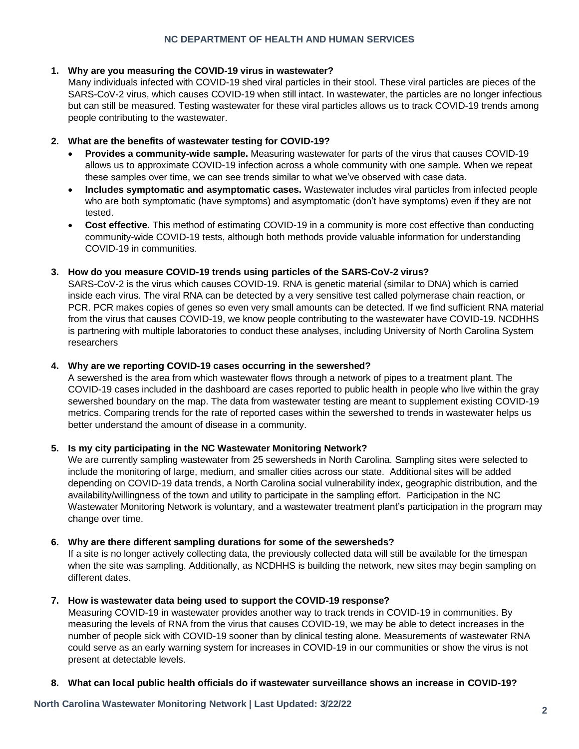### **NC DEPARTMENT OF HEALTH AND HUMAN SERVICES**

### **1. Why are you measuring the COVID-19 virus in wastewater?**

Many individuals infected with COVID-19 shed viral particles in their stool. These viral particles are pieces of the SARS-CoV-2 virus, which causes COVID-19 when still intact. In wastewater, the particles are no longer infectious but can still be measured. Testing wastewater for these viral particles allows us to track COVID-19 trends among people contributing to the wastewater.

# **2. What are the benefits of wastewater testing for COVID-19?**

- **Provides a community-wide sample.** Measuring wastewater for parts of the virus that causes COVID-19 allows us to approximate COVID-19 infection across a whole community with one sample. When we repeat these samples over time, we can see trends similar to what we've observed with case data.
- **Includes symptomatic and asymptomatic cases.** Wastewater includes viral particles from infected people who are both symptomatic (have symptoms) and asymptomatic (don't have symptoms) even if they are not tested.
- **Cost effective.** This method of estimating COVID-19 in a community is more cost effective than conducting community-wide COVID-19 tests, although both methods provide valuable information for understanding COVID-19 in communities.

### **3. How do you measure COVID-19 trends using particles of the SARS-CoV-2 virus?**

SARS-CoV-2 is the virus which causes COVID-19. RNA is genetic material (similar to DNA) which is carried inside each virus. The viral RNA can be detected by a very sensitive test called polymerase chain reaction, or PCR. PCR makes copies of genes so even very small amounts can be detected. If we find sufficient RNA material from the virus that causes COVID-19, we know people contributing to the wastewater have COVID-19. NCDHHS is partnering with multiple laboratories to conduct these analyses, including University of North Carolina System researchers

# **4. Why are we reporting COVID-19 cases occurring in the sewershed?**

A sewershed is the area from which wastewater flows through a network of pipes to a treatment plant. The COVID-19 cases included in the dashboard are cases reported to public health in people who live within the gray sewershed boundary on the map. The data from wastewater testing are meant to supplement existing COVID-19 metrics. Comparing trends for the rate of reported cases within the sewershed to trends in wastewater helps us better understand the amount of disease in a community.

# **5. Is my city participating in the NC Wastewater Monitoring Network?**

We are currently sampling wastewater from 25 sewersheds in North Carolina. Sampling sites were selected to include the monitoring of large, medium, and smaller cities across our state. Additional sites will be added depending on COVID-19 data trends, a North Carolina social vulnerability index, geographic distribution, and the availability/willingness of the town and utility to participate in the sampling effort. Participation in the NC Wastewater Monitoring Network is voluntary, and a wastewater treatment plant's participation in the program may change over time.

#### **6. Why are there different sampling durations for some of the sewersheds?**

If a site is no longer actively collecting data, the previously collected data will still be available for the timespan when the site was sampling. Additionally, as NCDHHS is building the network, new sites may begin sampling on different dates.

#### **7. How is wastewater data being used to support the COVID-19 response?**

Measuring COVID-19 in wastewater provides another way to track trends in COVID-19 in communities. By measuring the levels of RNA from the virus that causes COVID-19, we may be able to detect increases in the number of people sick with COVID-19 sooner than by clinical testing alone. Measurements of wastewater RNA could serve as an early warning system for increases in COVID-19 in our communities or show the virus is not present at detectable levels.

# **8. What can local public health officials do if wastewater surveillance shows an increase in COVID-19?**

**North Carolina Wastewater Monitoring Network | Last Updated: 3/22/22**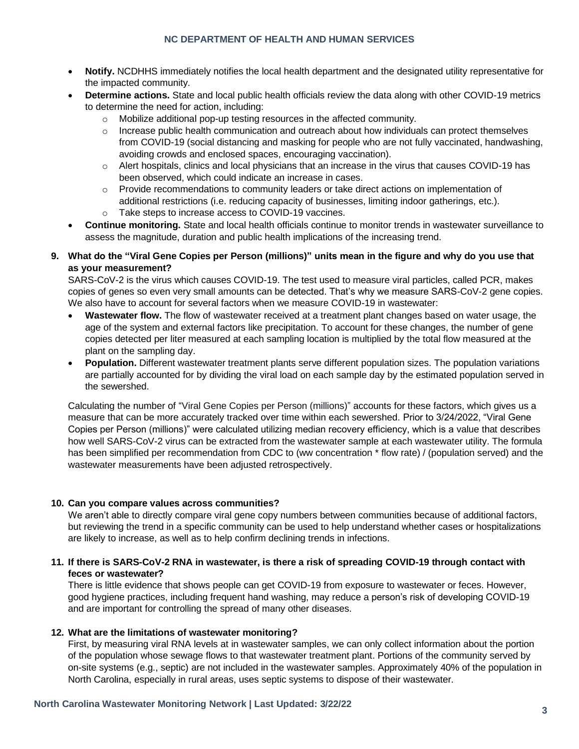# **NC DEPARTMENT OF HEALTH AND HUMAN SERVICES**

- **Notify.** NCDHHS immediately notifies the local health department and the designated utility representative for the impacted community.
- **Determine actions.** State and local public health officials review the data along with other COVID-19 metrics to determine the need for action, including:
	- o Mobilize additional pop-up testing resources in the affected community.
	- $\circ$  Increase public health communication and outreach about how individuals can protect themselves from COVID-19 (social distancing and masking for people who are not fully vaccinated, handwashing, avoiding crowds and enclosed spaces, encouraging vaccination).
	- $\circ$  Alert hospitals, clinics and local physicians that an increase in the virus that causes COVID-19 has been observed, which could indicate an increase in cases.
	- $\circ$  Provide recommendations to community leaders or take direct actions on implementation of additional restrictions (i.e. reducing capacity of businesses, limiting indoor gatherings, etc.).
	- o Take steps to increase access to COVID-19 vaccines.
- **Continue monitoring.** State and local health officials continue to monitor trends in wastewater surveillance to assess the magnitude, duration and public health implications of the increasing trend.

# **9. What do the "Viral Gene Copies per Person (millions)" units mean in the figure and why do you use that as your measurement?**

SARS-CoV-2 is the virus which causes COVID-19. The test used to measure viral particles, called PCR, makes copies of genes so even very small amounts can be detected. That's why we measure SARS-CoV-2 gene copies. We also have to account for several factors when we measure COVID-19 in wastewater:

- **Wastewater flow.** The flow of wastewater received at a treatment plant changes based on water usage, the age of the system and external factors like precipitation. To account for these changes, the number of gene copies detected per liter measured at each sampling location is multiplied by the total flow measured at the plant on the sampling day.
- **Population.** Different wastewater treatment plants serve different population sizes. The population variations are partially accounted for by dividing the viral load on each sample day by the estimated population served in the sewershed.

Calculating the number of "Viral Gene Copies per Person (millions)" accounts for these factors, which gives us a measure that can be more accurately tracked over time within each sewershed. Prior to 3/24/2022, "Viral Gene Copies per Person (millions)" were calculated utilizing median recovery efficiency, which is a value that describes how well SARS-CoV-2 virus can be extracted from the wastewater sample at each wastewater utility. The formula has been simplified per recommendation from CDC to (ww concentration \* flow rate) / (population served) and the wastewater measurements have been adjusted retrospectively.

#### **10. Can you compare values across communities?**

We aren't able to directly compare viral gene copy numbers between communities because of additional factors, but reviewing the trend in a specific community can be used to help understand whether cases or hospitalizations are likely to increase, as well as to help confirm declining trends in infections.

# **11. If there is SARS-CoV-2 RNA in wastewater, is there a risk of spreading COVID-19 through contact with feces or wastewater?**

There is little evidence that shows people can get COVID-19 from exposure to wastewater or feces. However, good hygiene practices, including frequent hand washing, may reduce a person's risk of developing COVID-19 and are important for controlling the spread of many other diseases.

# **12. What are the limitations of wastewater monitoring?**

First, by measuring viral RNA levels at in wastewater samples, we can only collect information about the portion of the population whose sewage flows to that wastewater treatment plant. Portions of the community served by on-site systems (e.g., septic) are not included in the wastewater samples. Approximately 40% of the population in North Carolina, especially in rural areas, uses septic systems to dispose of their wastewater.